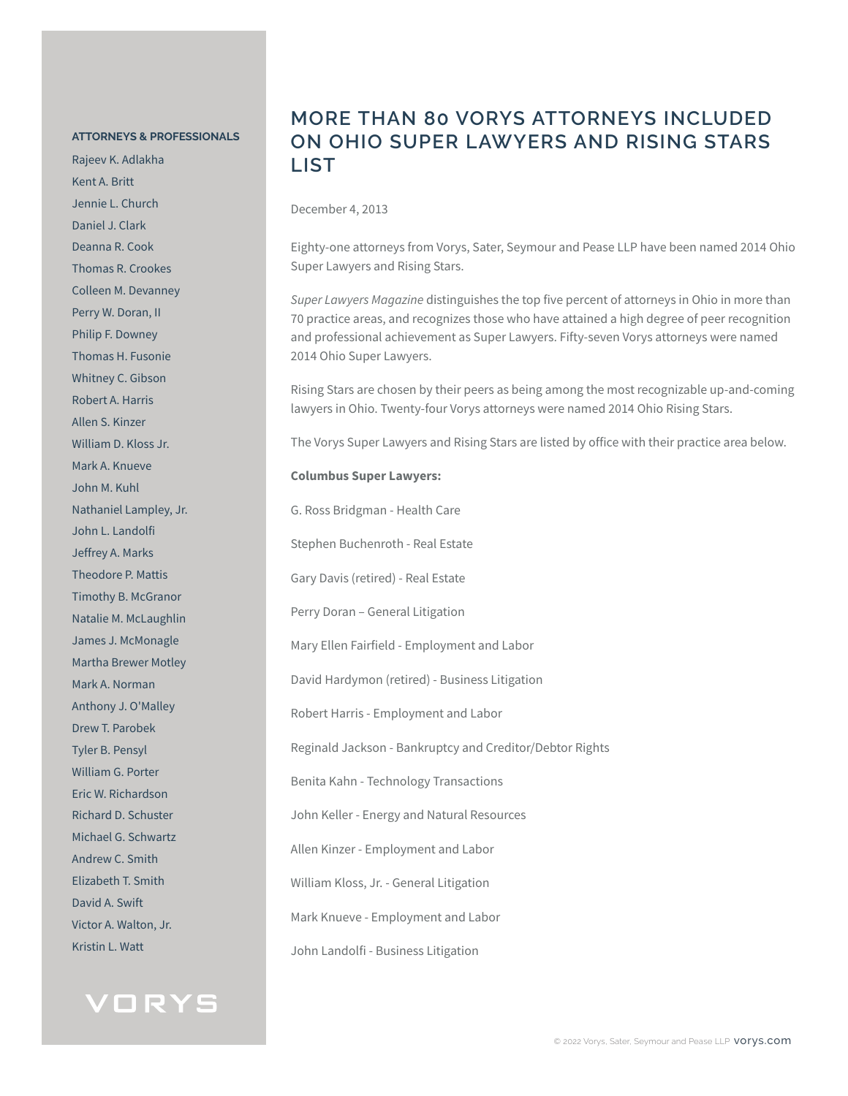#### **ATTORNEYS & PROFESSIONALS**

Rajeev K. Adlakha Kent A. Britt Jennie L. Church Daniel J. Clark Deanna R. Cook Thomas R. Crookes Colleen M. Devanney Perry W. Doran, II Philip F. Downey Thomas H. Fusonie Whitney C. Gibson Robert A. Harris Allen S. Kinzer William D. Kloss Jr. Mark A. Knueve John M. Kuhl Nathaniel Lampley, Jr. John L. Landolfi Jeffrey A. Marks Theodore P. Mattis Timothy B. McGranor Natalie M. McLaughlin James J. McMonagle Martha Brewer Motley Mark A. Norman Anthony J. O'Malley Drew T. Parobek Tyler B. Pensyl William G. Porter Eric W. Richardson Richard D. Schuster Michael G. Schwartz Andrew C. Smith Elizabeth T. Smith David A. Swift Victor A. Walton, Jr. Kristin L. Watt



### **MORE THAN 80 VORYS ATTORNEYS INCLUDED ON OHIO SUPER LAWYERS AND RISING STARS LIST**

December 4, 2013

Eighty-one attorneys from Vorys, Sater, Seymour and Pease LLP have been named 2014 Ohio Super Lawyers and Rising Stars.

*Super Lawyers Magazine* distinguishes the top five percent of attorneys in Ohio in more than 70 practice areas, and recognizes those who have attained a high degree of peer recognition and professional achievement as Super Lawyers. Fifty-seven Vorys attorneys were named 2014 Ohio Super Lawyers.

Rising Stars are chosen by their peers as being among the most recognizable up-and-coming lawyers in Ohio. Twenty-four Vorys attorneys were named 2014 Ohio Rising Stars.

The Vorys Super Lawyers and Rising Stars are listed by office with their practice area below.

#### **Columbus Super Lawyers:**

G. Ross Bridgman - Health Care Stephen Buchenroth - Real Estate Gary Davis (retired) - Real Estate Perry Doran – General Litigation Mary Ellen Fairfield - Employment and Labor David Hardymon (retired) - Business Litigation Robert Harris - Employment and Labor Reginald Jackson - Bankruptcy and Creditor/Debtor Rights Benita Kahn - Technology Transactions John Keller - Energy and Natural Resources Allen Kinzer - Employment and Labor William Kloss, Jr. - General Litigation Mark Knueve - Employment and Labor John Landolfi - Business Litigation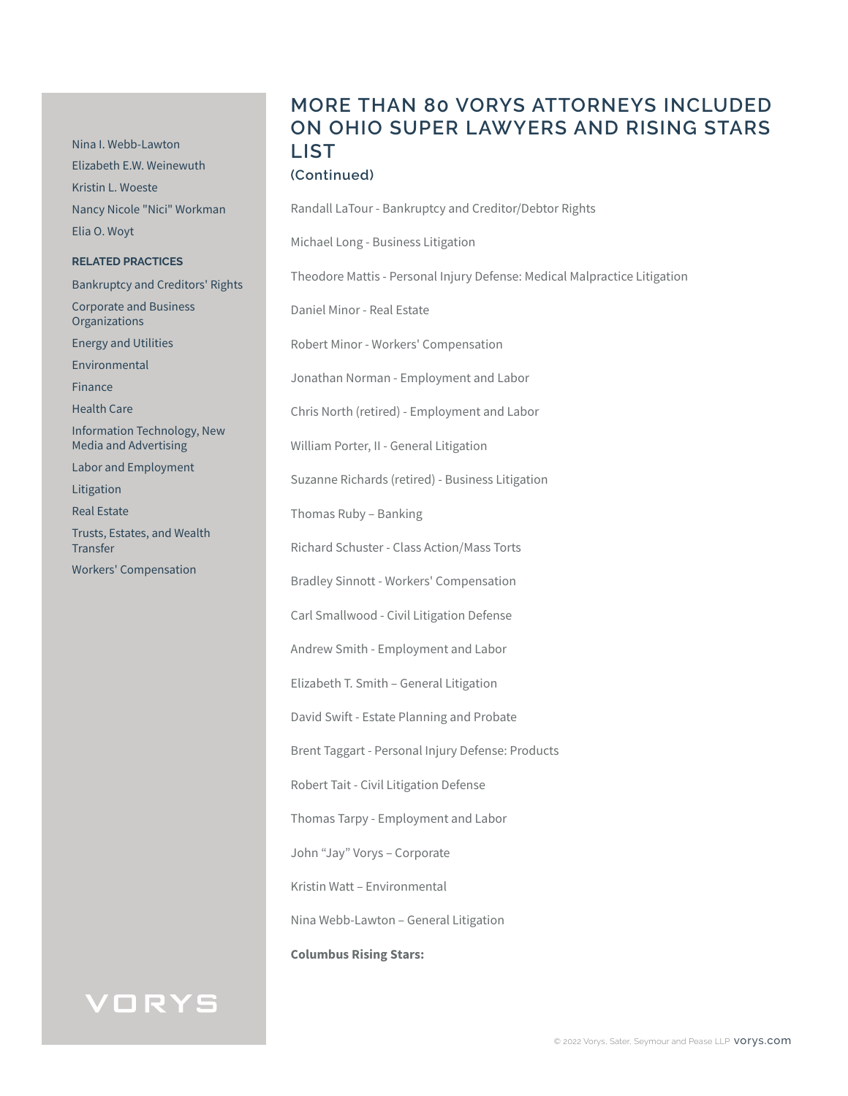Nina I. Webb-Lawton Elizabeth E.W. Weinewuth Kristin L. Woeste Nancy Nicole "Nici" Workman Elia O. Woyt

#### **RELATED PRACTICES**

Bankruptcy and Creditors' Rights Corporate and Business

Energy and Utilities

Environmental

**Organizations** 

Finance

Health Care

Information Technology, New Media and Advertising

Labor and Employment

Litigation

Real Estate

Trusts, Estates, and Wealth **Transfer** 

Workers' Compensation

# **MORE THAN 80 VORYS ATTORNEYS INCLUDED ON OHIO SUPER LAWYERS AND RISING STARS LIST**

### **(Continued)**

Randall LaTour - Bankruptcy and Creditor/Debtor Rights

Michael Long - Business Litigation

Theodore Mattis - Personal Injury Defense: Medical Malpractice Litigation

Daniel Minor - Real Estate

Robert Minor - Workers' Compensation

Jonathan Norman - Employment and Labor

Chris North (retired) - Employment and Labor

William Porter, II - General Litigation

Suzanne Richards (retired) - Business Litigation

Thomas Ruby – Banking

Richard Schuster - Class Action/Mass Torts

Bradley Sinnott - Workers' Compensation

Carl Smallwood - Civil Litigation Defense

Andrew Smith - Employment and Labor

Elizabeth T. Smith – General Litigation

David Swift - Estate Planning and Probate

Brent Taggart - Personal Injury Defense: Products

Robert Tait - Civil Litigation Defense

Thomas Tarpy - Employment and Labor

John "Jay" Vorys – Corporate

Kristin Watt – Environmental

Nina Webb-Lawton – General Litigation

**Columbus Rising Stars:**

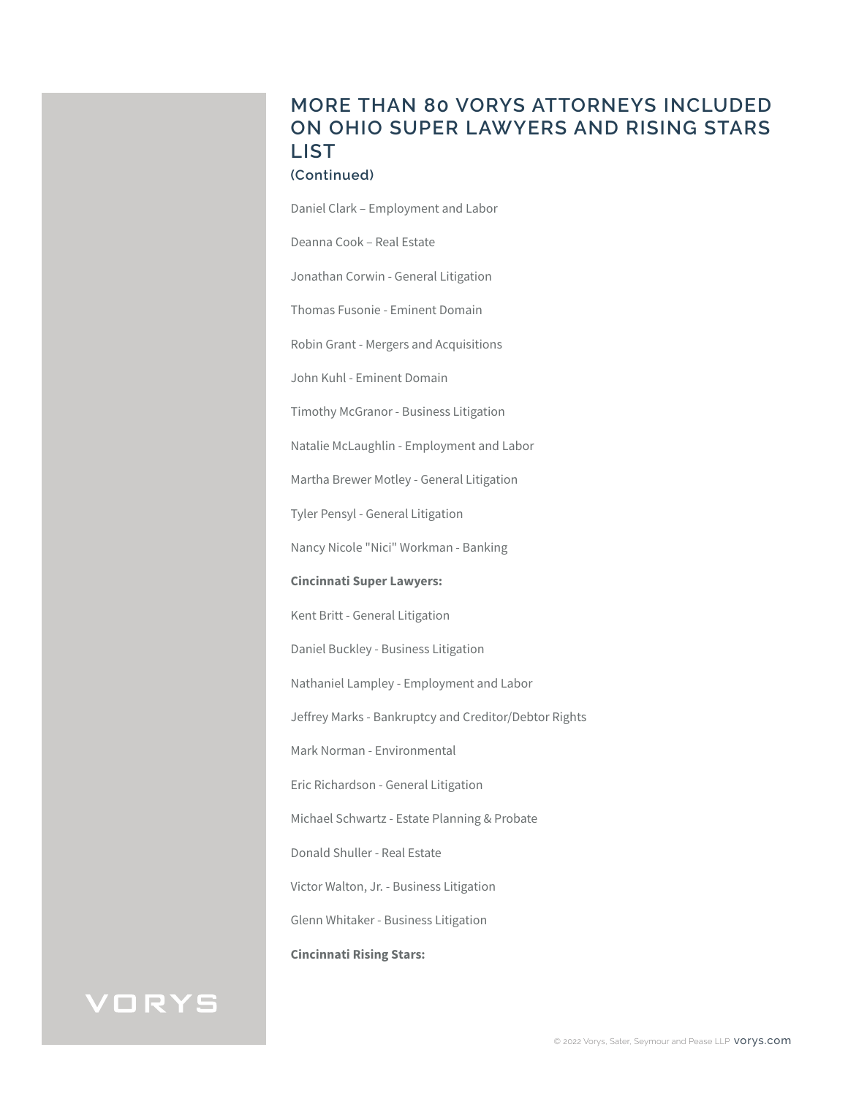# **MORE THAN 80 VORYS ATTORNEYS INCLUDED ON OHIO SUPER LAWYERS AND RISING STARS LIST**

### **(Continued)**

Daniel Clark – Employment and Labor

Deanna Cook – Real Estate

Jonathan Corwin - General Litigation

Thomas Fusonie - Eminent Domain

Robin Grant - Mergers and Acquisitions

John Kuhl - Eminent Domain

Timothy McGranor - Business Litigation

Natalie McLaughlin - Employment and Labor

Martha Brewer Motley - General Litigation

Tyler Pensyl - General Litigation

Nancy Nicole "Nici" Workman - Banking

**Cincinnati Super Lawyers:** 

Kent Britt - General Litigation

Daniel Buckley - Business Litigation

Nathaniel Lampley - Employment and Labor

Jeffrey Marks - Bankruptcy and Creditor/Debtor Rights

Mark Norman - Environmental

Eric Richardson - General Litigation

Michael Schwartz - Estate Planning & Probate

Donald Shuller - Real Estate

Victor Walton, Jr. - Business Litigation

Glenn Whitaker - Business Litigation

**Cincinnati Rising Stars:**

# VORYS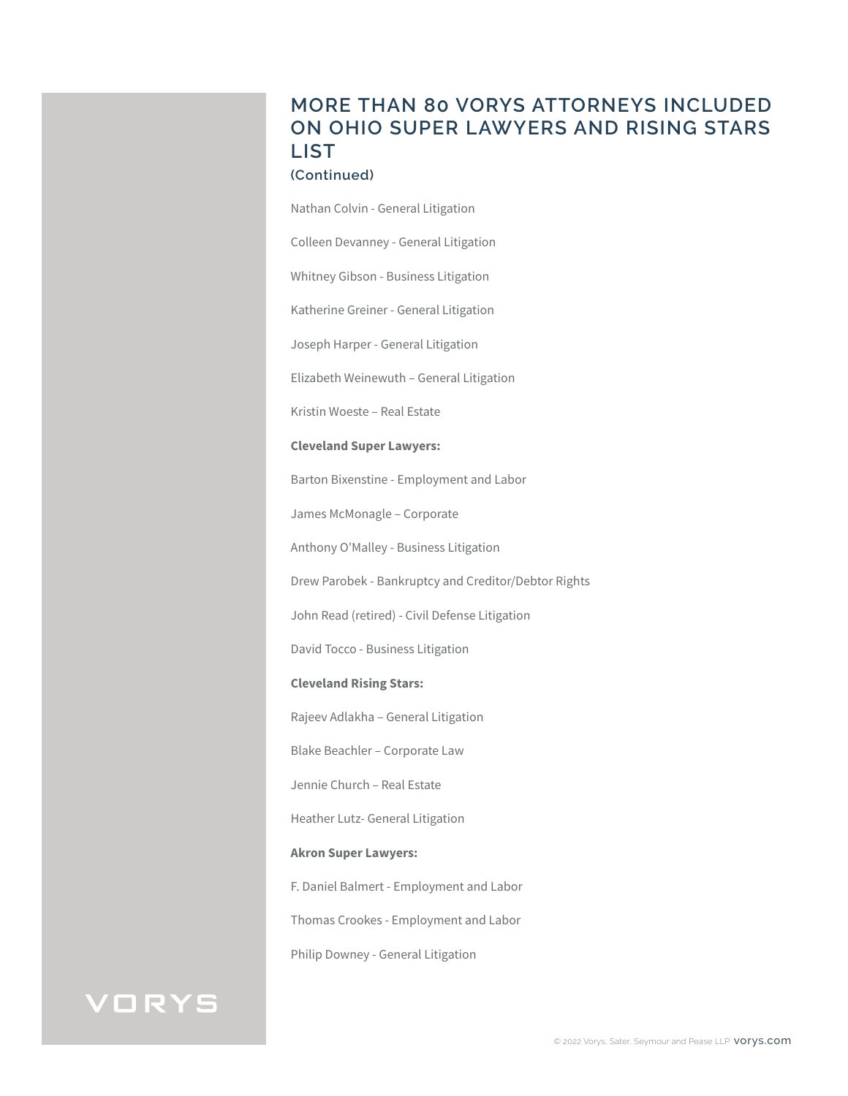# **MORE THAN 80 VORYS ATTORNEYS INCLUDED ON OHIO SUPER LAWYERS AND RISING STARS LIST**

### **(Continued)**

Nathan Colvin - General Litigation

Colleen Devanney - General Litigation

Whitney Gibson - Business Litigation

Katherine Greiner - General Litigation

Joseph Harper - General Litigation

Elizabeth Weinewuth – General Litigation

Kristin Woeste – Real Estate

#### **Cleveland Super Lawyers:**

Barton Bixenstine - Employment and Labor

James McMonagle – Corporate

Anthony O'Malley - Business Litigation

Drew Parobek - Bankruptcy and Creditor/Debtor Rights

John Read (retired) - Civil Defense Litigation

David Tocco - Business Litigation

### **Cleveland Rising Stars:**

Rajeev Adlakha – General Litigation

Blake Beachler – Corporate Law

Jennie Church – Real Estate

Heather Lutz- General Litigation

### **Akron Super Lawyers:**

F. Daniel Balmert - Employment and Labor

Thomas Crookes - Employment and Labor

Philip Downey - General Litigation

# VORYS